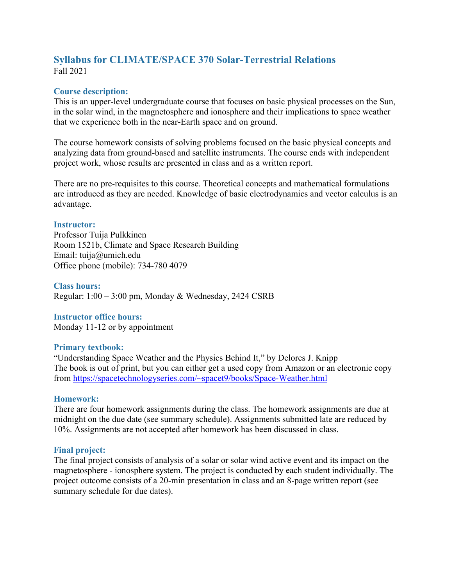# **Syllabus for CLIMATE/SPACE 370 Solar-Terrestrial Relations** Fall 2021

### **Course description:**

This is an upper-level undergraduate course that focuses on basic physical processes on the Sun, in the solar wind, in the magnetosphere and ionosphere and their implications to space weather that we experience both in the near-Earth space and on ground.

The course homework consists of solving problems focused on the basic physical concepts and analyzing data from ground-based and satellite instruments. The course ends with independent project work, whose results are presented in class and as a written report.

There are no pre-requisites to this course. Theoretical concepts and mathematical formulations are introduced as they are needed. Knowledge of basic electrodynamics and vector calculus is an advantage.

### **Instructor:**

Professor Tuija Pulkkinen Room 1521b, Climate and Space Research Building Email: tuija@umich.edu Office phone (mobile): 734-780 4079

#### **Class hours:**

Regular: 1:00 – 3:00 pm, Monday & Wednesday, 2424 CSRB

### **Instructor office hours:**

Monday 11-12 or by appointment

#### **Primary textbook:**

"Understanding Space Weather and the Physics Behind It," by Delores J. Knipp The book is out of print, but you can either get a used copy from Amazon or an electronic copy from https://spacetechnologyseries.com/~spacet9/books/Space-Weather.html

#### **Homework:**

There are four homework assignments during the class. The homework assignments are due at midnight on the due date (see summary schedule). Assignments submitted late are reduced by 10%. Assignments are not accepted after homework has been discussed in class.

### **Final project:**

The final project consists of analysis of a solar or solar wind active event and its impact on the magnetosphere - ionosphere system. The project is conducted by each student individually. The project outcome consists of a 20-min presentation in class and an 8-page written report (see summary schedule for due dates).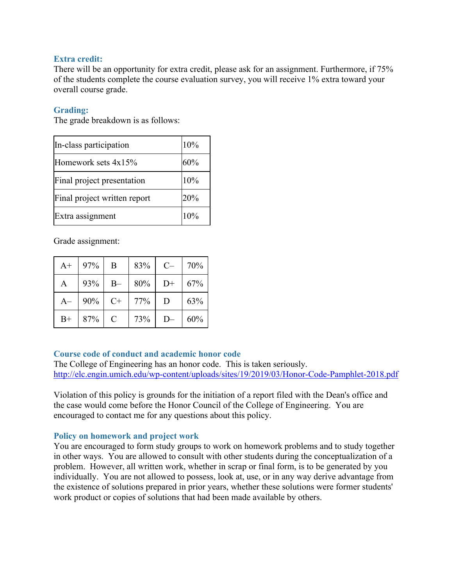### **Extra credit:**

There will be an opportunity for extra credit, please ask for an assignment. Furthermore, if 75% of the students complete the course evaluation survey, you will receive 1% extra toward your overall course grade.

### **Grading:**

The grade breakdown is as follows:

| In-class participation       | 10% |
|------------------------------|-----|
| Homework sets $4x15%$        | 60% |
| Final project presentation   | 10% |
| Final project written report | 20% |
| Extra assignment             | 10% |

Grade assignment:

| $A+$ | 97% | Β     | 83% | $C-$ | 70% |
|------|-----|-------|-----|------|-----|
| A    | 93% | $B -$ | 80% | $D+$ | 67% |
| $A-$ | 90% | $C+$  | 77% | D    | 63% |
| $B+$ | 87% | C     | 73% | D—   | 60% |

## **Course code of conduct and academic honor code**

The College of Engineering has an honor code. This is taken seriously. http://elc.engin.umich.edu/wp-content/uploads/sites/19/2019/03/Honor-Code-Pamphlet-2018.pdf

Violation of this policy is grounds for the initiation of a report filed with the Dean's office and the case would come before the Honor Council of the College of Engineering. You are encouraged to contact me for any questions about this policy.

## **Policy on homework and project work**

You are encouraged to form study groups to work on homework problems and to study together in other ways. You are allowed to consult with other students during the conceptualization of a problem. However, all written work, whether in scrap or final form, is to be generated by you individually. You are not allowed to possess, look at, use, or in any way derive advantage from the existence of solutions prepared in prior years, whether these solutions were former students' work product or copies of solutions that had been made available by others.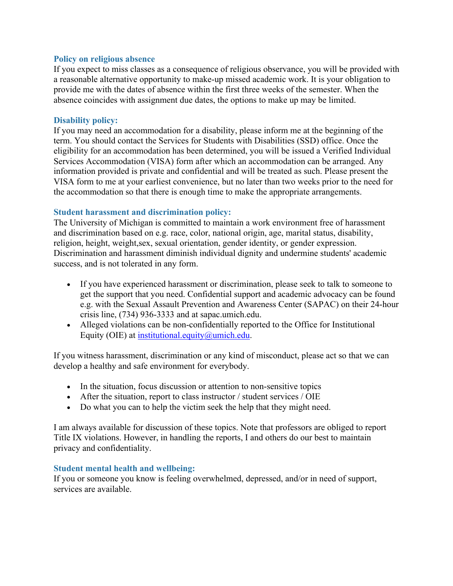#### **Policy on religious absence**

If you expect to miss classes as a consequence of religious observance, you will be provided with a reasonable alternative opportunity to make-up missed academic work. It is your obligation to provide me with the dates of absence within the first three weeks of the semester. When the absence coincides with assignment due dates, the options to make up may be limited.

#### **Disability policy:**

If you may need an accommodation for a disability, please inform me at the beginning of the term. You should contact the Services for Students with Disabilities (SSD) office. Once the eligibility for an accommodation has been determined, you will be issued a Verified Individual Services Accommodation (VISA) form after which an accommodation can be arranged. Any information provided is private and confidential and will be treated as such. Please present the VISA form to me at your earliest convenience, but no later than two weeks prior to the need for the accommodation so that there is enough time to make the appropriate arrangements.

#### **Student harassment and discrimination policy:**

The University of Michigan is committed to maintain a work environment free of harassment and discrimination based on e.g. race, color, national origin, age, marital status, disability, religion, height, weight,sex, sexual orientation, gender identity, or gender expression. Discrimination and harassment diminish individual dignity and undermine students' academic success, and is not tolerated in any form.

- If you have experienced harassment or discrimination, please seek to talk to someone to get the support that you need. Confidential support and academic advocacy can be found e.g. with the Sexual Assault Prevention and Awareness Center (SAPAC) on their 24-hour crisis line, (734) 936-3333 and at sapac.umich.edu.
- Alleged violations can be non-confidentially reported to the Office for Institutional Equity (OIE) at institutional.equity  $@$ umich.edu.

If you witness harassment, discrimination or any kind of misconduct, please act so that we can develop a healthy and safe environment for everybody.

- In the situation, focus discussion or attention to non-sensitive topics
- After the situation, report to class instructor / student services / OIE
- Do what you can to help the victim seek the help that they might need.

I am always available for discussion of these topics. Note that professors are obliged to report Title IX violations. However, in handling the reports, I and others do our best to maintain privacy and confidentiality.

#### **Student mental health and wellbeing:**

If you or someone you know is feeling overwhelmed, depressed, and/or in need of support, services are available.